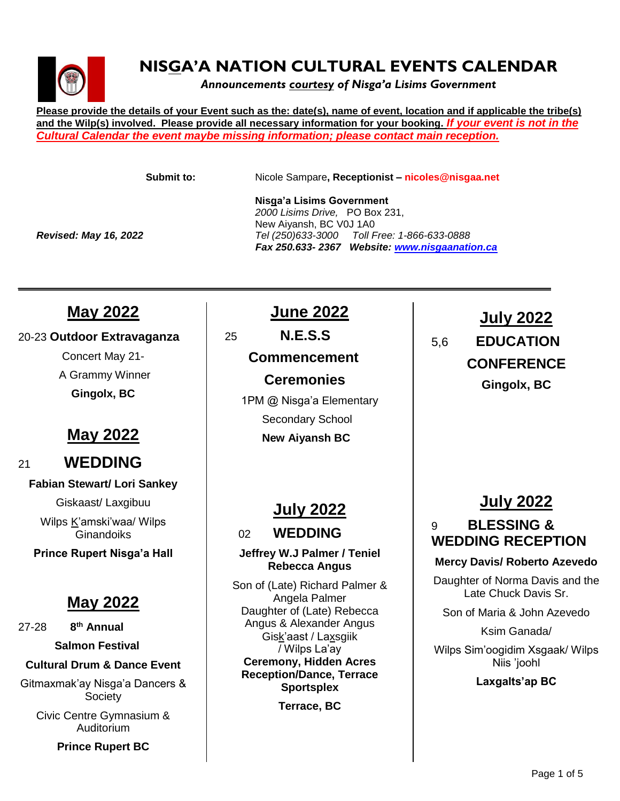

# **NISGA'A NATION CULTURAL EVENTS CALENDAR**

*Announcements courtesy of Nisga'a Lisims Government*

**Please provide the details of your Event such as the: date(s), name of event, location and if applicable the tribe(s) and the Wilp(s) involved. Please provide all necessary information for your booking.** *If your event is not in the Cultural Calendar the event maybe missing information; please contact main reception.*

**Submit to:** Nicole Sampare**, Receptionist – nicoles@nisgaa.net**

 **Nisga'a Lisims Government**  *Fax 250.633- 2367 Website: [www.nisgaanation.ca](http://www.nisgaanation.ca/)*

*2000 Lisims Drive,* PO Box 231, New Aiyansh, BC V0J 1A0 *Revised: May 16, 2022 Tel (250)633-3000 Toll Free: 1-866-633-0888*

**May 2022**

#### 20-23 **Outdoor Extravaganza**

Concert May 21- A Grammy Winner **Gingolx, BC**

# **May 2022**

### <sup>21</sup>**WEDDING**

#### **Fabian Stewart/ Lori Sankey**

Giskaast/ Laxgibuu

Wilps K'amski'waa/ Wilps **Ginandoiks** 

**Prince Rupert Nisga'a Hall**

### **May 2022**

27-28 **8 th Annual** 

**Salmon Festival**

#### **Cultural Drum & Dance Event**

Gitmaxmak'ay Nisga'a Dancers & **Society** 

Civic Centre Gymnasium & Auditorium

**Prince Rupert BC**

# **June 2022**

25 **N.E.S.S Commencement Ceremonies**

*\_\_\_\_\_\_\_\_\_\_\_\_\_\_\_\_\_\_\_\_\_\_\_\_\_\_\_\_\_\_\_\_\_\_\_\_\_\_\_\_\_\_\_\_\_\_\_\_\_\_\_\_\_\_\_\_\_\_\_\_\_\_\_\_\_\_\_\_\_\_\_\_\_\_\_\_\_\_\_\_\_\_\_\_\_\_* 

1PM @ Nisga'a Elementary Secondary School  **New Aiyansh BC**

# **July 2022**

<sup>02</sup> **WEDDING**

#### **Jeffrey W.J Palmer / Teniel Rebecca Angus**

Son of (Late) Richard Palmer & Angela Palmer Daughter of (Late) Rebecca Angus & Alexander Angus Gisk'aast / Laxsgiik / Wilps La'ay **Ceremony, Hidden Acres Reception/Dance, Terrace Sportsplex**

**Terrace, BC**

# **July 2022** 5,6 **EDUCATION CONFERENCE Gingolx, BC**

# **July 2022**

### 9 **BLESSING & WEDDING RECEPTION**

#### **Mercy Davis/ Roberto Azevedo**

Daughter of Norma Davis and the Late Chuck Davis Sr.

Son of Maria & John Azevedo

Ksim Ganada/

Wilps Sim'oogidim Xsgaak/ Wilps Niis 'joohl

#### **Laxgalts'ap BC**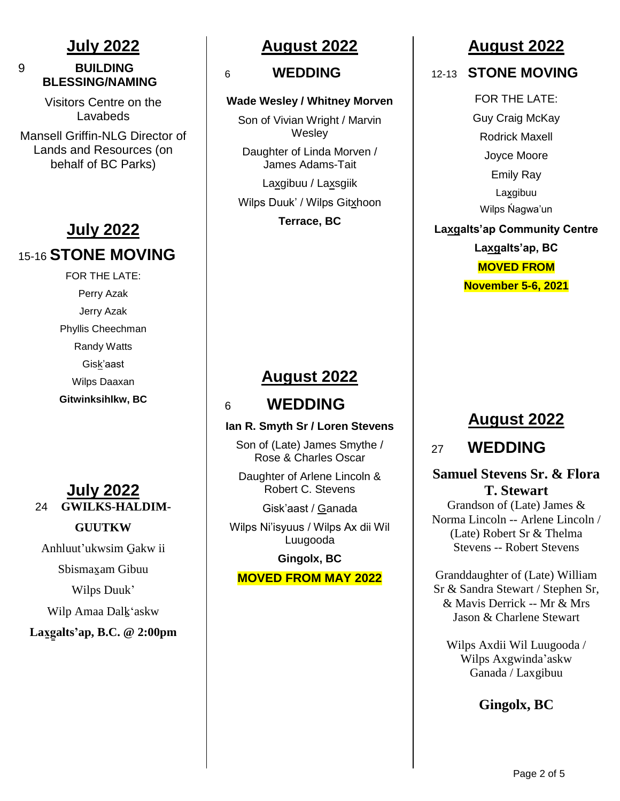### **July 2022**

### 9 **BUILDING BLESSING/NAMING**

Visitors Centre on the Lavabeds

Mansell Griffin-NLG Director of Lands and Resources (on behalf of BC Parks)

# **July 2022** 15-16 **STONE MOVING**

FOR THE LATE: Perry Azak Jerry Azak Phyllis Cheechman Randy Watts Gisk'aast Wilps Daaxan **Gitwinksihlkw, BC**

### **July 2022** 24 **GWILKS-HALDIM-**

### **GUUTKW**

Anhluut'ukwsim G̱akw ii

Sbismax̱am Gibuu

Wilps Duuk'

Wilp Amaa Dalḵ'askw

**Lax̱g̱alts'ap, B.C. @ 2:00pm** 

# **August 2022**

#### 6 **WEDDING**

#### **Wade Wesley / Whitney Morven**

Son of Vivian Wright / Marvin **Wesley** 

Daughter of Linda Morven / James Adams-Tait

Laxgibuu / Laxsgiik

Wilps Duuk' / Wilps Gitxhoon

**Terrace, BC**

# **August 2022**

# <sup>6</sup> **WEDDING**

#### **Ian R. Smyth Sr / Loren Stevens**

Son of (Late) James Smythe / Rose & Charles Oscar

Daughter of Arlene Lincoln & Robert C. Stevens

Gisk'aast / Ganada

Wilps Ni'isyuus / Wilps Ax dii Wil Luugooda

**Gingolx, BC**

#### **MOVED FROM MAY 2022**

# **August 2022**

12-13 **STONE MOVING**

FOR THE LATE: Guy Craig McKay Rodrick Maxell Joyce Moore Emily Ray Laxgibuu Wilps Ńagwa'un **Laxgalts'ap Community Centre**

**Laxgalts'ap, BC MOVED FROM November 5-6, 2021**

# **August 2022**

<sup>27</sup>**WEDDING**

### **Samuel Stevens Sr. & Flora T. Stewart**

Grandson of (Late) James & Norma Lincoln -- Arlene Lincoln / (Late) Robert Sr & Thelma Stevens -- Robert Stevens

Granddaughter of (Late) William Sr & Sandra Stewart / Stephen Sr, & Mavis Derrick -- Mr & Mrs Jason & Charlene Stewart

Wilps Axdii Wil Luugooda / Wilps Axgwinda'askw Ganada / Laxgibuu

**Gingolx, BC**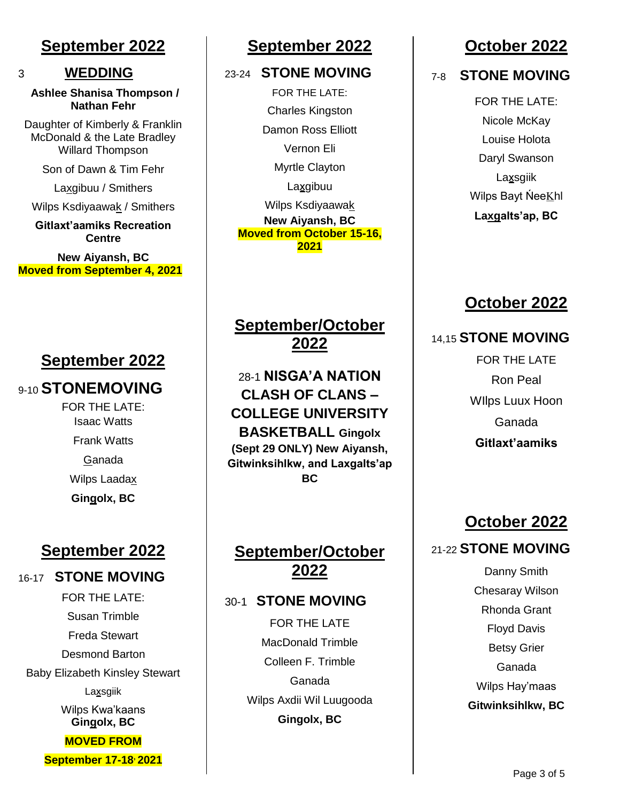### **September 2022**

3 **WEDDING**

**Ashlee Shanisa Thompson / Nathan Fehr**

Daughter of Kimberly & Franklin McDonald & the Late Bradley Willard Thompson

Son of Dawn & Tim Fehr

Laxgibuu / Smithers

Wilps Ksdiyaawak / Smithers

**Gitlaxt'aamiks Recreation Centre**

**New Aiyansh, BC Moved from September 4, 2021**

### **September 2022**

### 9-10 **STONEMOVING**

FOR THE LATE: Isaac Watts Frank Watts Ganada Wilps Laadax **Gingolx, BC**

# **September 2022**

#### 16-17 **STONE MOVING**

FOR THE LATE: Susan Trimble Freda Stewart Desmond Barton Baby Elizabeth Kinsley Stewart Laxsgiik Wilps Kwa'kaans **Gingolx, BC MOVED FROM September 17-18, 2021**

### **September 2022**

### 23-24 **STONE MOVING**

FOR THE LATE: Charles Kingston Damon Ross Elliott Vernon Eli Myrtle Clayton **Laxgibuu** Wilps Ksdiyaawak **New Aiyansh, BC Moved from October 15-16, 2021**

### **September/October 2022**

28-1 **NISGA'A NATION CLASH OF CLANS – COLLEGE UNIVERSITY BASKETBALL Gingolx (Sept 29 ONLY) New Aiyansh, Gitwinksihlkw, and Laxgalts'ap BC**

### **September/October 2022**

#### 30-1 **STONE MOVING**

FOR THE LATE MacDonald Trimble Colleen F. Trimble Ganada Wilps Axdii Wil Luugooda **Gingolx, BC**

### **October 2022**

7-8 **STONE MOVING**

FOR THE LATE: Nicole McKay Louise Holota Daryl Swanson Laxsgiik Wilps Bayt NeeKhl **Laxgalts'ap, BC**

### **October 2022**

#### 14,15 **STONE MOVING**

FOR THE LATE Ron Peal WIlps Luux Hoon Ganada **Gitlaxt'aamiks**

# **October 2022**

### 21-22 **STONE MOVING**

Danny Smith Chesaray Wilson Rhonda Grant Floyd Davis Betsy Grier Ganada Wilps Hay'maas **Gitwinksihlkw, BC**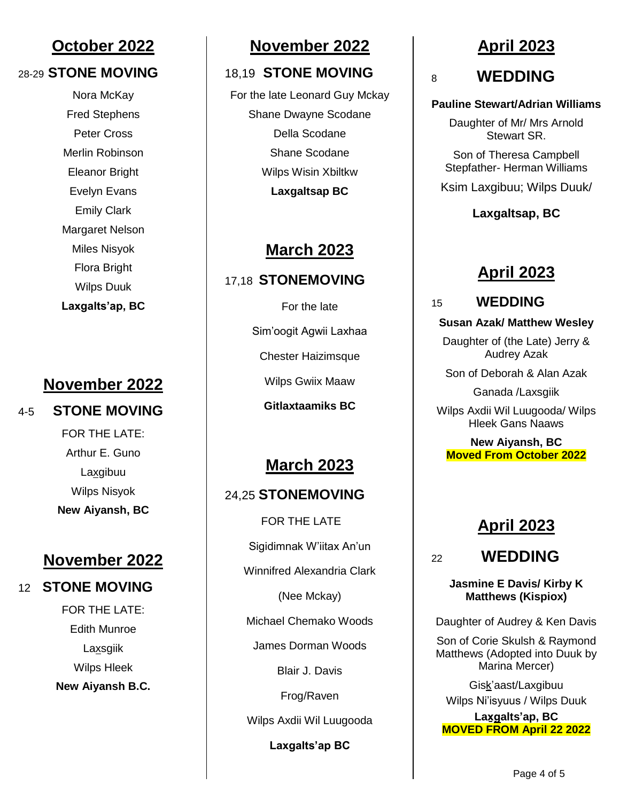### **October 2022**

#### 28-29 **STONE MOVING**

Nora McKay Fred Stephens Peter Cross Merlin Robinson Eleanor Bright Evelyn Evans Emily Clark Margaret Nelson Miles Nisyok Flora Bright Wilps Duuk **Laxgalts'ap, BC**

### **November 2022**

### 4-5 **STONE MOVING**

FOR THE LATE: Arthur E. Guno Laxgibuu Wilps Nisyok **New Aiyansh, BC**

### **November 2022**

### 12 **STONE MOVING**

FOR THE LATE: Edith Munroe Laxsgiik Wilps Hleek **New Aiyansh B.C.** 

### **November 2022**

#### 18,19 **STONE MOVING**

For the late Leonard Guy Mckay Shane Dwayne Scodane Della Scodane Shane Scodane Wilps Wisin Xbiltkw **Laxgaltsap BC**

### **March 2023**

### 17,18 **STONEMOVING**

For the late Sim'oogit Agwii Laxhaa Chester Haizimsque Wilps Gwiix Maaw **Gitlaxtaamiks BC**

# **March 2023**

### 24,25 **STONEMOVING**

FOR THE LATE Sigidimnak W'iitax An'un Winnifred Alexandria Clark (Nee Mckay) Michael Chemako Woods James Dorman Woods Blair J. Davis Frog/Raven Wilps Axdii Wil Luugooda **Laxgalts'ap BC**

### **April 2023**

# <sup>8</sup>**WEDDING**

#### **Pauline Stewart/Adrian Williams**

Daughter of Mr/ Mrs Arnold Stewart SR.

Son of Theresa Campbell Stepfather- Herman Williams

Ksim Laxgibuu; Wilps Duuk/

#### **Laxgaltsap, BC**

### **April 2023**

#### 15 **WEDDING**

#### **Susan Azak/ Matthew Wesley**

Daughter of (the Late) Jerry & Audrey Azak

Son of Deborah & Alan Azak

Ganada /Laxsgiik

Wilps Axdii Wil Luugooda/ Wilps Hleek Gans Naaws

**New Aiyansh, BC Moved From October 2022**

# **April 2023**

<sup>22</sup>**WEDDING**

**Jasmine E Davis/ Kirby K** 

# **Matthews (Kispiox)**

Daughter of Audrey & Ken Davis

Son of Corie Skulsh & Raymond Matthews (Adopted into Duuk by Marina Mercer)

Gisḵ'aast/Laxgibuu Wilps Ni'isyuus / Wilps Duuk

Laxgalts'ap, BC **MOVED FROM April 22 2022**